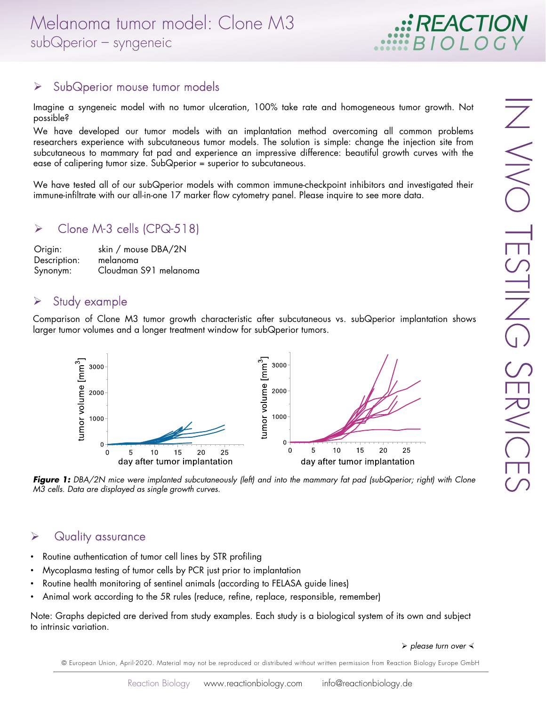# REACTIO

## $\triangleright$  SubQperior mouse tumor models

Imagine a syngeneic model with no tumor ulceration, 100% take rate and homogeneous tumor growth. Not possible?

We have developed our tumor models with an implantation method overcoming all common problems researchers experience with subcutaneous tumor models. The solution is simple: change the injection site from subcutaneous to mammary fat pad and experience an impressive difference: beautiful growth curves with the ease of calipering tumor size. SubQperior = superior to subcutaneous.

We have tested all of our subQperior models with common immune-checkpoint inhibitors and investigated their immune-infiltrate with our all-in-one 17 marker flow cytometry panel. Please inquire to see more data.

## Clone M-3 cells (CPQ-518)

| Origin:      | skin / mouse DBA/2N   |
|--------------|-----------------------|
| Description: | melanoma              |
| Synonym:     | Cloudman S91 melanoma |

# $\triangleright$  Study example

Comparison of Clone M3 tumor growth characteristic after subcutaneous vs. subQperior implantation shows larger tumor volumes and a longer treatment window for subQperior tumors.



**Figure 1:** DBA/2N mice were implanted subcutaneously (left) and into the mammary fat pad (subQperior; right) with Clone M3 cells. Data are displayed as single growth curves.

#### **▶** Quality assurance

- Routine authentication of tumor cell lines by STR profiling
- Mycoplasma testing of tumor cells by PCR just prior to implantation
- Routine health monitoring of sentinel animals (according to FELASA guide lines)
- Animal work according to the 5R rules (reduce, refine, replace, responsible, remember)

Note: Graphs depicted are derived from study examples. Each study is a biological system of its own and subject to intrinsic variation.

 $\triangleright$  please turn over  $\triangleleft$ 

© European Union, April-2020. Material may not be reproduced or distributed without written permission from Reaction Biology Europe GmbH